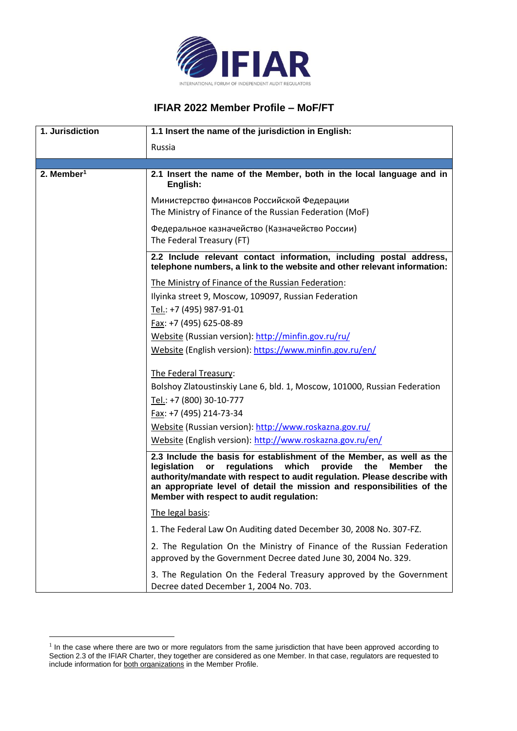

## **IFIAR 2022 Member Profile – MoF/FT**

| 1. Jurisdiction          | 1.1 Insert the name of the jurisdiction in English:                                                                                                                                                                                                                                                                                                         |
|--------------------------|-------------------------------------------------------------------------------------------------------------------------------------------------------------------------------------------------------------------------------------------------------------------------------------------------------------------------------------------------------------|
|                          | Russia                                                                                                                                                                                                                                                                                                                                                      |
| $2.$ Member <sup>1</sup> | 2.1 Insert the name of the Member, both in the local language and in<br>English:                                                                                                                                                                                                                                                                            |
|                          | Министерство финансов Российской Федерации<br>The Ministry of Finance of the Russian Federation (MoF)                                                                                                                                                                                                                                                       |
|                          | Федеральное казначейство (Казначейство России)<br>The Federal Treasury (FT)                                                                                                                                                                                                                                                                                 |
|                          | 2.2 Include relevant contact information, including postal address,<br>telephone numbers, a link to the website and other relevant information:                                                                                                                                                                                                             |
|                          | The Ministry of Finance of the Russian Federation:<br>Ilyinka street 9, Moscow, 109097, Russian Federation                                                                                                                                                                                                                                                  |
|                          | Tel.: +7 (495) 987-91-01<br>Fax: +7 (495) 625-08-89                                                                                                                                                                                                                                                                                                         |
|                          | Website (Russian version): http://minfin.gov.ru/ru/<br>Website (English version): https://www.minfin.gov.ru/en/                                                                                                                                                                                                                                             |
|                          | The Federal Treasury:<br>Bolshoy Zlatoustinskiy Lane 6, bld. 1, Moscow, 101000, Russian Federation                                                                                                                                                                                                                                                          |
|                          | Tel.: +7 (800) 30-10-777<br>Fax: +7 (495) 214-73-34                                                                                                                                                                                                                                                                                                         |
|                          | Website (Russian version): http://www.roskazna.gov.ru/<br>Website (English version): http://www.roskazna.gov.ru/en/                                                                                                                                                                                                                                         |
|                          | 2.3 Include the basis for establishment of the Member, as well as the<br>legislation<br>regulations which<br>provide<br>the<br>or<br><b>Member</b><br>the<br>authority/mandate with respect to audit regulation. Please describe with<br>an appropriate level of detail the mission and responsibilities of the<br>Member with respect to audit regulation: |
|                          | The legal basis:                                                                                                                                                                                                                                                                                                                                            |
|                          | 1. The Federal Law On Auditing dated December 30, 2008 No. 307-FZ.                                                                                                                                                                                                                                                                                          |
|                          | 2. The Regulation On the Ministry of Finance of the Russian Federation<br>approved by the Government Decree dated June 30, 2004 No. 329.                                                                                                                                                                                                                    |
|                          | 3. The Regulation On the Federal Treasury approved by the Government<br>Decree dated December 1, 2004 No. 703.                                                                                                                                                                                                                                              |

<sup>&</sup>lt;sup>1</sup> In the case where there are two or more regulators from the same jurisdiction that have been approved according to Section 2.3 of the IFIAR Charter, they together are considered as one Member. In that case, regulators are requested to include information for both organizations in the Member Profile.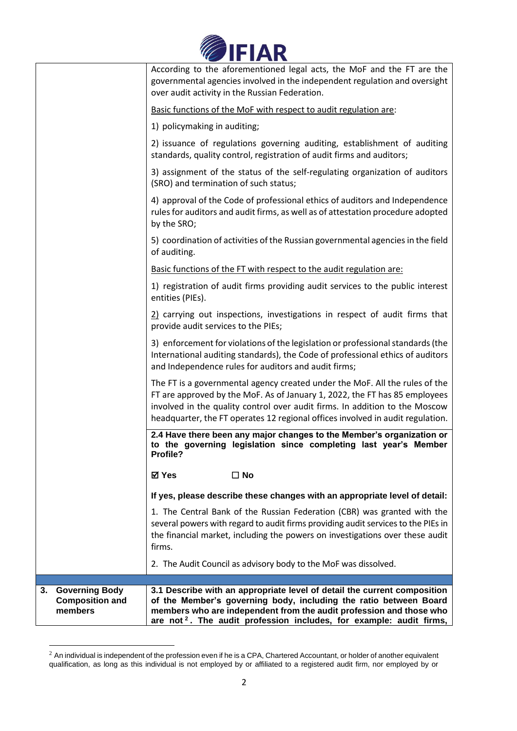

|                                                                  | According to the aforementioned legal acts, the MoF and the FT are the<br>governmental agencies involved in the independent regulation and oversight                                                                                                                                                                       |
|------------------------------------------------------------------|----------------------------------------------------------------------------------------------------------------------------------------------------------------------------------------------------------------------------------------------------------------------------------------------------------------------------|
|                                                                  | over audit activity in the Russian Federation.                                                                                                                                                                                                                                                                             |
|                                                                  | Basic functions of the MoF with respect to audit regulation are:                                                                                                                                                                                                                                                           |
|                                                                  | 1) policymaking in auditing;                                                                                                                                                                                                                                                                                               |
|                                                                  | 2) issuance of regulations governing auditing, establishment of auditing<br>standards, quality control, registration of audit firms and auditors;                                                                                                                                                                          |
|                                                                  | 3) assignment of the status of the self-regulating organization of auditors<br>(SRO) and termination of such status;                                                                                                                                                                                                       |
|                                                                  | 4) approval of the Code of professional ethics of auditors and Independence<br>rules for auditors and audit firms, as well as of attestation procedure adopted<br>by the SRO;                                                                                                                                              |
|                                                                  | 5) coordination of activities of the Russian governmental agencies in the field<br>of auditing.                                                                                                                                                                                                                            |
|                                                                  | Basic functions of the FT with respect to the audit regulation are:                                                                                                                                                                                                                                                        |
|                                                                  | 1) registration of audit firms providing audit services to the public interest<br>entities (PIEs).                                                                                                                                                                                                                         |
|                                                                  | $2$ ) carrying out inspections, investigations in respect of audit firms that<br>provide audit services to the PIEs;                                                                                                                                                                                                       |
|                                                                  | 3) enforcement for violations of the legislation or professional standards (the<br>International auditing standards), the Code of professional ethics of auditors<br>and Independence rules for auditors and audit firms;                                                                                                  |
|                                                                  | The FT is a governmental agency created under the MoF. All the rules of the<br>FT are approved by the MoF. As of January 1, 2022, the FT has 85 employees<br>involved in the quality control over audit firms. In addition to the Moscow<br>headquarter, the FT operates 12 regional offices involved in audit regulation. |
|                                                                  | 2.4 Have there been any major changes to the Member's organization or<br>to the governing legislation since completing last year's Member<br>Profile?                                                                                                                                                                      |
|                                                                  | ☑ Yes<br>$\Box$ No                                                                                                                                                                                                                                                                                                         |
|                                                                  | If yes, please describe these changes with an appropriate level of detail:                                                                                                                                                                                                                                                 |
|                                                                  | 1. The Central Bank of the Russian Federation (CBR) was granted with the<br>several powers with regard to audit firms providing audit services to the PIEs in<br>the financial market, including the powers on investigations over these audit<br>firms.                                                                   |
|                                                                  | 2. The Audit Council as advisory body to the MoF was dissolved.                                                                                                                                                                                                                                                            |
|                                                                  |                                                                                                                                                                                                                                                                                                                            |
| <b>Governing Body</b><br>3.<br><b>Composition and</b><br>members | 3.1 Describe with an appropriate level of detail the current composition<br>of the Member's governing body, including the ratio between Board<br>members who are independent from the audit profession and those who<br>are not <sup>2</sup> . The audit profession includes, for example: audit firms,                    |

 $^2$  An individual is independent of the profession even if he is a CPA, Chartered Accountant, or holder of another equivalent qualification, as long as this individual is not employed by or affiliated to a registered audit firm, nor employed by or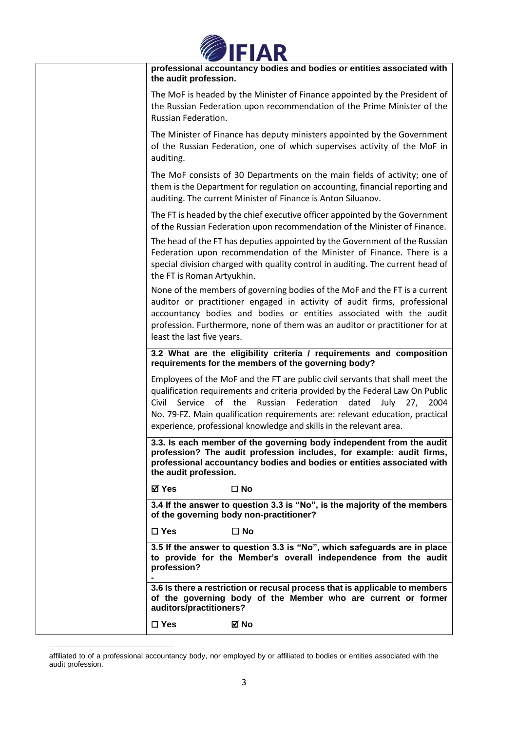

| professional accountancy bodies and bodies or entities associated with<br>the audit profession.                                                                                                                                                                                                                                                                                                   |
|---------------------------------------------------------------------------------------------------------------------------------------------------------------------------------------------------------------------------------------------------------------------------------------------------------------------------------------------------------------------------------------------------|
| The MoF is headed by the Minister of Finance appointed by the President of<br>the Russian Federation upon recommendation of the Prime Minister of the<br>Russian Federation.                                                                                                                                                                                                                      |
| The Minister of Finance has deputy ministers appointed by the Government<br>of the Russian Federation, one of which supervises activity of the MoF in<br>auditing.                                                                                                                                                                                                                                |
| The MoF consists of 30 Departments on the main fields of activity; one of<br>them is the Department for regulation on accounting, financial reporting and<br>auditing. The current Minister of Finance is Anton Siluanov.                                                                                                                                                                         |
| The FT is headed by the chief executive officer appointed by the Government<br>of the Russian Federation upon recommendation of the Minister of Finance.                                                                                                                                                                                                                                          |
| The head of the FT has deputies appointed by the Government of the Russian<br>Federation upon recommendation of the Minister of Finance. There is a<br>special division charged with quality control in auditing. The current head of<br>the FT is Roman Artyukhin.                                                                                                                               |
| None of the members of governing bodies of the MoF and the FT is a current<br>auditor or practitioner engaged in activity of audit firms, professional<br>accountancy bodies and bodies or entities associated with the audit<br>profession. Furthermore, none of them was an auditor or practitioner for at<br>least the last five years.                                                        |
| 3.2 What are the eligibility criteria / requirements and composition<br>requirements for the members of the governing body?                                                                                                                                                                                                                                                                       |
| Employees of the MoF and the FT are public civil servants that shall meet the<br>qualification requirements and criteria provided by the Federal Law On Public<br>Civil<br>Service of the<br>Russian Federation dated<br>July 27,<br>2004<br>No. 79-FZ. Main qualification requirements are: relevant education, practical<br>experience, professional knowledge and skills in the relevant area. |
| 3.3. Is each member of the governing body independent from the audit<br>profession? The audit profession includes, for example: audit firms,<br>professional accountancy bodies and bodies or entities associated with<br>the audit profession.                                                                                                                                                   |
| ⊠ Yes<br>$\square$ No                                                                                                                                                                                                                                                                                                                                                                             |
| 3.4 If the answer to question 3.3 is "No", is the majority of the members<br>of the governing body non-practitioner?                                                                                                                                                                                                                                                                              |
| $\square$ Yes<br>$\square$ No                                                                                                                                                                                                                                                                                                                                                                     |
| 3.5 If the answer to question 3.3 is "No", which safeguards are in place<br>to provide for the Member's overall independence from the audit<br>profession?                                                                                                                                                                                                                                        |
| 3.6 Is there a restriction or recusal process that is applicable to members                                                                                                                                                                                                                                                                                                                       |
| of the governing body of the Member who are current or former<br>auditors/practitioners?                                                                                                                                                                                                                                                                                                          |

affiliated to of a professional accountancy body, nor employed by or affiliated to bodies or entities associated with the audit profession.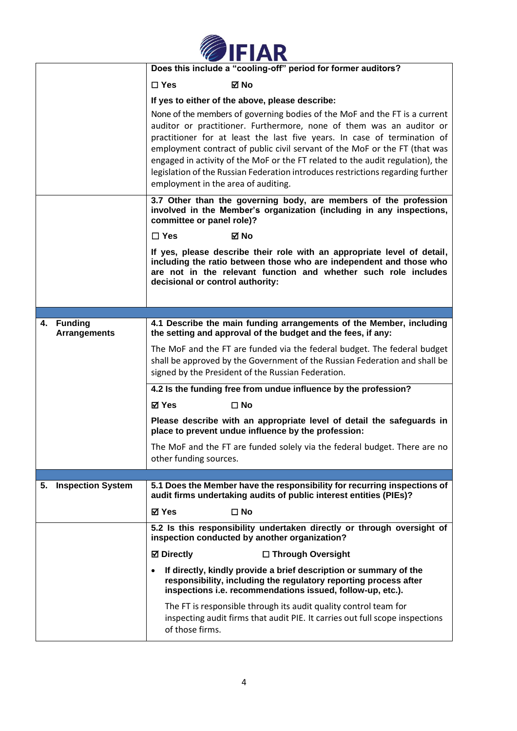

|                                   | Does this include a "cooling-off" period for former auditors?                                                                                                                                                                                                                                                                                                                                                                                                                                                            |
|-----------------------------------|--------------------------------------------------------------------------------------------------------------------------------------------------------------------------------------------------------------------------------------------------------------------------------------------------------------------------------------------------------------------------------------------------------------------------------------------------------------------------------------------------------------------------|
|                                   | ⊠ No<br>$\Box$ Yes                                                                                                                                                                                                                                                                                                                                                                                                                                                                                                       |
|                                   | If yes to either of the above, please describe:                                                                                                                                                                                                                                                                                                                                                                                                                                                                          |
|                                   | None of the members of governing bodies of the MoF and the FT is a current<br>auditor or practitioner. Furthermore, none of them was an auditor or<br>practitioner for at least the last five years. In case of termination of<br>employment contract of public civil servant of the MoF or the FT (that was<br>engaged in activity of the MoF or the FT related to the audit regulation), the<br>legislation of the Russian Federation introduces restrictions regarding further<br>employment in the area of auditing. |
|                                   | 3.7 Other than the governing body, are members of the profession<br>involved in the Member's organization (including in any inspections,<br>committee or panel role)?                                                                                                                                                                                                                                                                                                                                                    |
|                                   | $\Box$ Yes<br>⊠ No                                                                                                                                                                                                                                                                                                                                                                                                                                                                                                       |
|                                   | If yes, please describe their role with an appropriate level of detail,<br>including the ratio between those who are independent and those who<br>are not in the relevant function and whether such role includes<br>decisional or control authority:                                                                                                                                                                                                                                                                    |
|                                   |                                                                                                                                                                                                                                                                                                                                                                                                                                                                                                                          |
| 4. Funding<br><b>Arrangements</b> | 4.1 Describe the main funding arrangements of the Member, including<br>the setting and approval of the budget and the fees, if any:                                                                                                                                                                                                                                                                                                                                                                                      |
|                                   | The MoF and the FT are funded via the federal budget. The federal budget<br>shall be approved by the Government of the Russian Federation and shall be<br>signed by the President of the Russian Federation.                                                                                                                                                                                                                                                                                                             |
|                                   | 4.2 Is the funding free from undue influence by the profession?                                                                                                                                                                                                                                                                                                                                                                                                                                                          |
|                                   | <b>⊠</b> Yes<br>$\square$ No                                                                                                                                                                                                                                                                                                                                                                                                                                                                                             |
|                                   | Please describe with an appropriate level of detail the safeguards in<br>place to prevent undue influence by the profession:                                                                                                                                                                                                                                                                                                                                                                                             |
|                                   | The MoF and the FT are funded solely via the federal budget. There are no<br>other funding sources.                                                                                                                                                                                                                                                                                                                                                                                                                      |
|                                   |                                                                                                                                                                                                                                                                                                                                                                                                                                                                                                                          |
| <b>Inspection System</b><br>5.    | 5.1 Does the Member have the responsibility for recurring inspections of<br>audit firms undertaking audits of public interest entities (PIEs)?                                                                                                                                                                                                                                                                                                                                                                           |
|                                   | <b>☑ Yes</b><br>$\square$ No                                                                                                                                                                                                                                                                                                                                                                                                                                                                                             |
|                                   | 5.2 Is this responsibility undertaken directly or through oversight of<br>inspection conducted by another organization?                                                                                                                                                                                                                                                                                                                                                                                                  |
|                                   | □ Through Oversight<br><b>Ø</b> Directly                                                                                                                                                                                                                                                                                                                                                                                                                                                                                 |
|                                   | If directly, kindly provide a brief description or summary of the<br>responsibility, including the regulatory reporting process after<br>inspections i.e. recommendations issued, follow-up, etc.).                                                                                                                                                                                                                                                                                                                      |
|                                   | The FT is responsible through its audit quality control team for<br>inspecting audit firms that audit PIE. It carries out full scope inspections<br>of those firms.                                                                                                                                                                                                                                                                                                                                                      |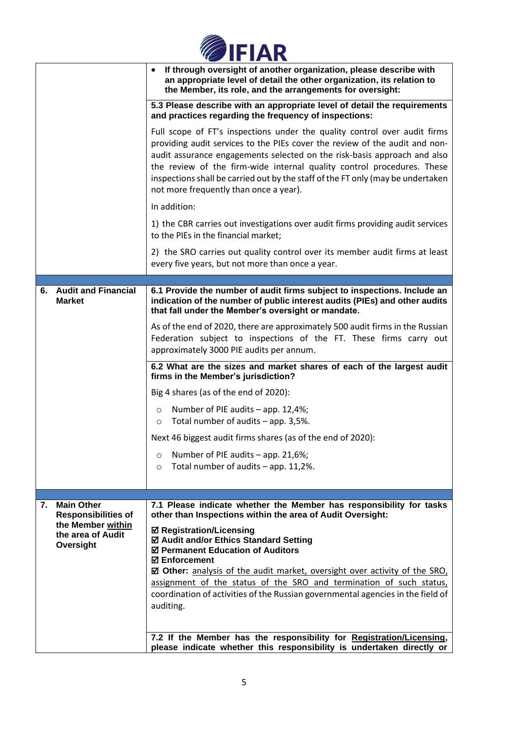|  | <b>OFIAR</b> |
|--|--------------|
|  |              |

|    |                                                                                   | If through oversight of another organization, please describe with<br>$\bullet$<br>an appropriate level of detail the other organization, its relation to<br>the Member, its role, and the arrangements for oversight:                                                                                                                                                                                                                                           |
|----|-----------------------------------------------------------------------------------|------------------------------------------------------------------------------------------------------------------------------------------------------------------------------------------------------------------------------------------------------------------------------------------------------------------------------------------------------------------------------------------------------------------------------------------------------------------|
|    |                                                                                   | 5.3 Please describe with an appropriate level of detail the requirements<br>and practices regarding the frequency of inspections:                                                                                                                                                                                                                                                                                                                                |
|    |                                                                                   | Full scope of FT's inspections under the quality control over audit firms<br>providing audit services to the PIEs cover the review of the audit and non-<br>audit assurance engagements selected on the risk-basis approach and also<br>the review of the firm-wide internal quality control procedures. These<br>inspections shall be carried out by the staff of the FT only (may be undertaken<br>not more frequently than once a year).                      |
|    |                                                                                   | In addition:                                                                                                                                                                                                                                                                                                                                                                                                                                                     |
|    |                                                                                   | 1) the CBR carries out investigations over audit firms providing audit services<br>to the PIEs in the financial market;                                                                                                                                                                                                                                                                                                                                          |
|    |                                                                                   | 2) the SRO carries out quality control over its member audit firms at least<br>every five years, but not more than once a year.                                                                                                                                                                                                                                                                                                                                  |
|    |                                                                                   |                                                                                                                                                                                                                                                                                                                                                                                                                                                                  |
| 6. | <b>Audit and Financial</b><br><b>Market</b>                                       | 6.1 Provide the number of audit firms subject to inspections. Include an<br>indication of the number of public interest audits (PIEs) and other audits<br>that fall under the Member's oversight or mandate.                                                                                                                                                                                                                                                     |
|    |                                                                                   | As of the end of 2020, there are approximately 500 audit firms in the Russian<br>Federation subject to inspections of the FT. These firms carry out<br>approximately 3000 PIE audits per annum.                                                                                                                                                                                                                                                                  |
|    |                                                                                   | 6.2 What are the sizes and market shares of each of the largest audit<br>firms in the Member's jurisdiction?                                                                                                                                                                                                                                                                                                                                                     |
|    |                                                                                   | Big 4 shares (as of the end of 2020):                                                                                                                                                                                                                                                                                                                                                                                                                            |
|    |                                                                                   | Number of PIE audits - app. 12,4%;<br>$\circ$                                                                                                                                                                                                                                                                                                                                                                                                                    |
|    |                                                                                   | Total number of audits - app. 3,5%.<br>$\circ$                                                                                                                                                                                                                                                                                                                                                                                                                   |
|    |                                                                                   | Next 46 biggest audit firms shares (as of the end of 2020):                                                                                                                                                                                                                                                                                                                                                                                                      |
|    |                                                                                   | Number of PIE audits - app. 21,6%;<br>O<br>Total number of audits - app. 11,2%.<br>$\circ$                                                                                                                                                                                                                                                                                                                                                                       |
|    |                                                                                   |                                                                                                                                                                                                                                                                                                                                                                                                                                                                  |
| 7. | <b>Main Other</b>                                                                 | 7.1 Please indicate whether the Member has responsibility for tasks                                                                                                                                                                                                                                                                                                                                                                                              |
|    | <b>Responsibilities of</b><br>the Member within<br>the area of Audit<br>Oversight | other than Inspections within the area of Audit Oversight:<br><b>☑ Registration/Licensing</b><br>☑ Audit and/or Ethics Standard Setting<br>☑ Permanent Education of Auditors<br><b>☑ Enforcement</b><br><b>Ø Other:</b> analysis of the audit market, oversight over activity of the SRO,<br>assignment of the status of the SRO and termination of such status,<br>coordination of activities of the Russian governmental agencies in the field of<br>auditing. |
|    |                                                                                   | 7.2 If the Member has the responsibility for Registration/Licensing,<br>please indicate whether this responsibility is undertaken directly or                                                                                                                                                                                                                                                                                                                    |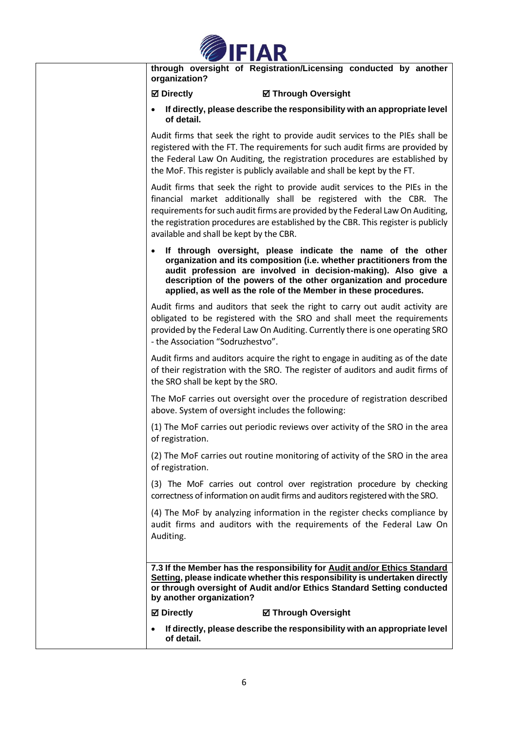

**through oversight of Registration/Licensing conducted by another organization?**

## **Directly Through Oversight**

• **If directly, please describe the responsibility with an appropriate level of detail.** 

Audit firms that seek the right to provide audit services to the PIEs shall be registered with the FT. The requirements for such audit firms are provided by the Federal Law On Auditing, the registration procedures are established by the MoF. This register is publicly available and shall be kept by the FT.

Audit firms that seek the right to provide audit services to the PIEs in the financial market additionally shall be registered with the CBR. The requirements for such audit firms are provided by the Federal Law On Auditing, the registration procedures are established by the CBR. This register is publicly available and shall be kept by the CBR.

• **If through oversight, please indicate the name of the other organization and its composition (i.e. whether practitioners from the audit profession are involved in decision-making). Also give a description of the powers of the other organization and procedure applied, as well as the role of the Member in these procedures.**

Audit firms and auditors that seek the right to carry out audit activity are obligated to be registered with the SRO and shall meet the requirements provided by the Federal Law On Auditing. Currently there is one operating SRO - the Association "Sodruzhestvo".

Audit firms and auditors acquire the right to engage in auditing as of the date of their registration with the SRO. The register of auditors and audit firms of the SRO shall be kept by the SRO.

The MoF carries out oversight over the procedure of registration described above. System of oversight includes the following:

(1) The MoF carries out periodic reviews over activity of the SRO in the area of registration.

(2) The MoF carries out routine monitoring of activity of the SRO in the area of registration.

(3) The MoF carries out control over registration procedure by checking correctness of information on audit firms and auditors registered with the SRO.

(4) The MoF by analyzing information in the register checks compliance by audit firms and auditors with the requirements of the Federal Law On Auditing.

**7.3 If the Member has the responsibility for Audit and/or Ethics Standard Setting, please indicate whether this responsibility is undertaken directly or through oversight of Audit and/or Ethics Standard Setting conducted by another organization?**

**Directly Through Oversight**

• **If directly, please describe the responsibility with an appropriate level of detail.**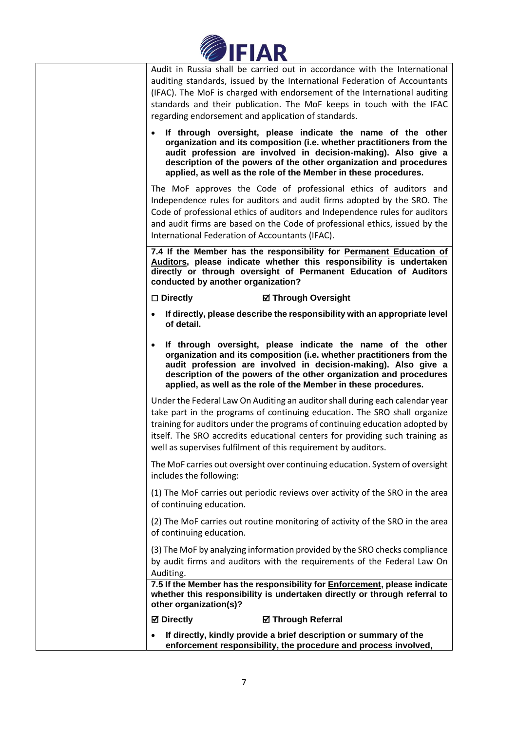

| Audit in Russia shall be carried out in accordance with the International<br>auditing standards, issued by the International Federation of Accountants<br>(IFAC). The MoF is charged with endorsement of the International auditing<br>standards and their publication. The MoF keeps in touch with the IFAC<br>regarding endorsement and application of standards.                        |
|--------------------------------------------------------------------------------------------------------------------------------------------------------------------------------------------------------------------------------------------------------------------------------------------------------------------------------------------------------------------------------------------|
| If through oversight, please indicate the name of the other<br>$\bullet$<br>organization and its composition (i.e. whether practitioners from the<br>audit profession are involved in decision-making). Also give a<br>description of the powers of the other organization and procedures<br>applied, as well as the role of the Member in these procedures.                               |
| The MoF approves the Code of professional ethics of auditors and<br>Independence rules for auditors and audit firms adopted by the SRO. The<br>Code of professional ethics of auditors and Independence rules for auditors<br>and audit firms are based on the Code of professional ethics, issued by the<br>International Federation of Accountants (IFAC).                               |
| 7.4 If the Member has the responsibility for Permanent Education of<br>Auditors, please indicate whether this responsibility is undertaken<br>directly or through oversight of Permanent Education of Auditors<br>conducted by another organization?                                                                                                                                       |
| $\square$ Directly<br><b>Ø Through Oversight</b>                                                                                                                                                                                                                                                                                                                                           |
| If directly, please describe the responsibility with an appropriate level<br>of detail.                                                                                                                                                                                                                                                                                                    |
| If through oversight, please indicate the name of the other<br>$\bullet$<br>organization and its composition (i.e. whether practitioners from the<br>audit profession are involved in decision-making). Also give a<br>description of the powers of the other organization and procedures<br>applied, as well as the role of the Member in these procedures.                               |
| Under the Federal Law On Auditing an auditor shall during each calendar year<br>take part in the programs of continuing education. The SRO shall organize<br>training for auditors under the programs of continuing education adopted by<br>itself. The SRO accredits educational centers for providing such training as<br>well as supervises fulfilment of this requirement by auditors. |
| The MoF carries out oversight over continuing education. System of oversight<br>includes the following:                                                                                                                                                                                                                                                                                    |
| (1) The MoF carries out periodic reviews over activity of the SRO in the area<br>of continuing education.                                                                                                                                                                                                                                                                                  |
| (2) The MoF carries out routine monitoring of activity of the SRO in the area<br>of continuing education.                                                                                                                                                                                                                                                                                  |
| (3) The MoF by analyzing information provided by the SRO checks compliance<br>by audit firms and auditors with the requirements of the Federal Law On<br>Auditing.<br>7.5 If the Member has the responsibility for Enforcement, please indicate                                                                                                                                            |
| whether this responsibility is undertaken directly or through referral to<br>other organization(s)?                                                                                                                                                                                                                                                                                        |
| <b>☑</b> Directly<br><b>Ø Through Referral</b>                                                                                                                                                                                                                                                                                                                                             |
| If directly, kindly provide a brief description or summary of the<br>$\bullet$<br>enforcement responsibility, the procedure and process involved,                                                                                                                                                                                                                                          |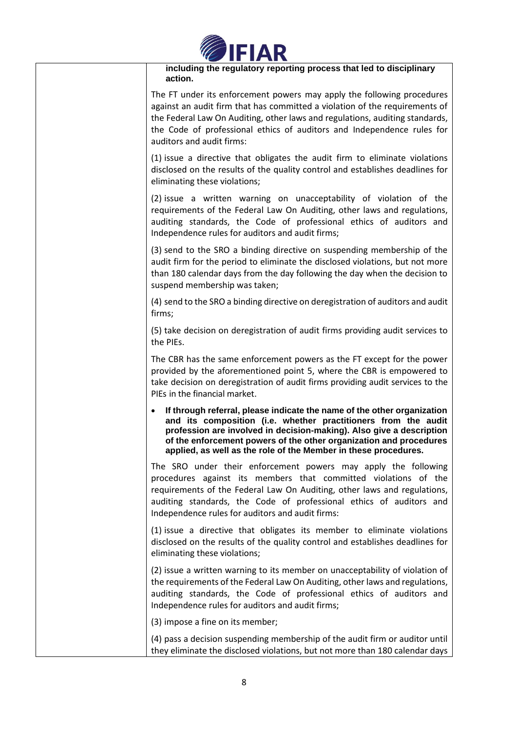

**including the regulatory reporting process that led to disciplinary action.** 

The FT under its enforcement powers may apply the following procedures against an audit firm that has committed a violation of the requirements of the Federal Law On Auditing, other laws and regulations, auditing standards, the Code of professional ethics of auditors and Independence rules for auditors and audit firms:

(1) issue a directive that obligates the audit firm to eliminate violations disclosed on the results of the quality control and establishes deadlines for eliminating these violations;

(2) issue a written warning on unacceptability of violation of the requirements of the Federal Law On Auditing, other laws and regulations, auditing standards, the Code of professional ethics of auditors and Independence rules for auditors and audit firms;

(3) send to the SRO a binding directive on suspending membership of the audit firm for the period to eliminate the disclosed violations, but not more than 180 calendar days from the day following the day when the decision to suspend membership was taken;

(4) send to the SRO a binding directive on deregistration of auditors and audit firms;

(5) take decision on deregistration of audit firms providing audit services to the PIEs.

The CBR has the same enforcement powers as the FT except for the power provided by the aforementioned point 5, where the CBR is empowered to take decision on deregistration of audit firms providing audit services to the PIEs in the financial market.

• **If through referral, please indicate the name of the other organization and its composition (i.e. whether practitioners from the audit profession are involved in decision-making). Also give a description of the enforcement powers of the other organization and procedures applied, as well as the role of the Member in these procedures.**

The SRO under their enforcement powers may apply the following procedures against its members that committed violations of the requirements of the Federal Law On Auditing, other laws and regulations, auditing standards, the Code of professional ethics of auditors and Independence rules for auditors and audit firms:

(1) issue a directive that obligates its member to eliminate violations disclosed on the results of the quality control and establishes deadlines for eliminating these violations;

(2) issue a written warning to its member on unacceptability of violation of the requirements of the Federal Law On Auditing, other laws and regulations, auditing standards, the Code of professional ethics of auditors and Independence rules for auditors and audit firms;

(3) impose a fine on its member;

(4) pass a decision suspending membership of the audit firm or auditor until they eliminate the disclosed violations, but not more than 180 calendar days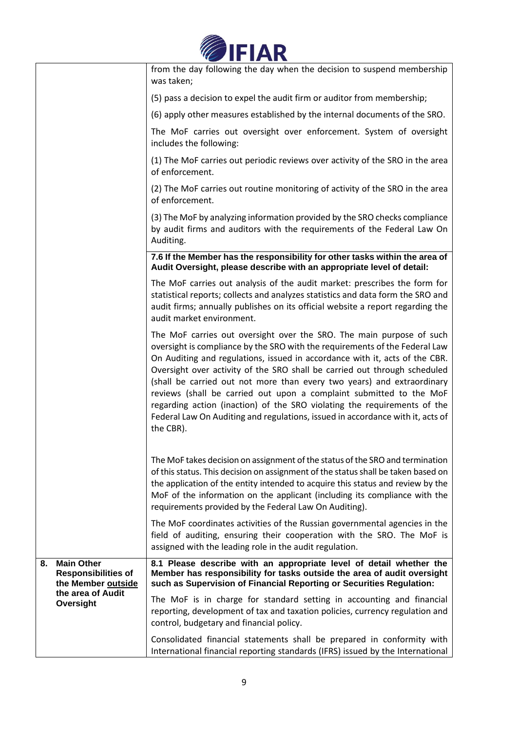

|    |                                                                                                         | from the day following the day when the decision to suspend membership<br>was taken;                                                                                                                                                                                                                                                                                                                                                                                                                                                                                                                                                        |
|----|---------------------------------------------------------------------------------------------------------|---------------------------------------------------------------------------------------------------------------------------------------------------------------------------------------------------------------------------------------------------------------------------------------------------------------------------------------------------------------------------------------------------------------------------------------------------------------------------------------------------------------------------------------------------------------------------------------------------------------------------------------------|
|    |                                                                                                         | (5) pass a decision to expel the audit firm or auditor from membership;                                                                                                                                                                                                                                                                                                                                                                                                                                                                                                                                                                     |
|    |                                                                                                         | (6) apply other measures established by the internal documents of the SRO.                                                                                                                                                                                                                                                                                                                                                                                                                                                                                                                                                                  |
|    |                                                                                                         | The MoF carries out oversight over enforcement. System of oversight<br>includes the following:                                                                                                                                                                                                                                                                                                                                                                                                                                                                                                                                              |
|    |                                                                                                         | (1) The MoF carries out periodic reviews over activity of the SRO in the area<br>of enforcement.                                                                                                                                                                                                                                                                                                                                                                                                                                                                                                                                            |
|    |                                                                                                         | (2) The MoF carries out routine monitoring of activity of the SRO in the area<br>of enforcement.                                                                                                                                                                                                                                                                                                                                                                                                                                                                                                                                            |
|    |                                                                                                         | (3) The MoF by analyzing information provided by the SRO checks compliance<br>by audit firms and auditors with the requirements of the Federal Law On<br>Auditing.                                                                                                                                                                                                                                                                                                                                                                                                                                                                          |
|    |                                                                                                         | 7.6 If the Member has the responsibility for other tasks within the area of<br>Audit Oversight, please describe with an appropriate level of detail:                                                                                                                                                                                                                                                                                                                                                                                                                                                                                        |
|    |                                                                                                         | The MoF carries out analysis of the audit market: prescribes the form for<br>statistical reports; collects and analyzes statistics and data form the SRO and<br>audit firms; annually publishes on its official website a report regarding the<br>audit market environment.                                                                                                                                                                                                                                                                                                                                                                 |
|    |                                                                                                         | The MoF carries out oversight over the SRO. The main purpose of such<br>oversight is compliance by the SRO with the requirements of the Federal Law<br>On Auditing and regulations, issued in accordance with it, acts of the CBR.<br>Oversight over activity of the SRO shall be carried out through scheduled<br>(shall be carried out not more than every two years) and extraordinary<br>reviews (shall be carried out upon a complaint submitted to the MoF<br>regarding action (inaction) of the SRO violating the requirements of the<br>Federal Law On Auditing and regulations, issued in accordance with it, acts of<br>the CBR). |
|    |                                                                                                         | The MoF takes decision on assignment of the status of the SRO and termination<br>of this status. This decision on assignment of the status shall be taken based on<br>the application of the entity intended to acquire this status and review by the<br>MoF of the information on the applicant (including its compliance with the<br>requirements provided by the Federal Law On Auditing).                                                                                                                                                                                                                                               |
|    |                                                                                                         | The MoF coordinates activities of the Russian governmental agencies in the<br>field of auditing, ensuring their cooperation with the SRO. The MoF is<br>assigned with the leading role in the audit regulation.                                                                                                                                                                                                                                                                                                                                                                                                                             |
| 8. | <b>Main Other</b><br><b>Responsibilities of</b><br>the Member outside<br>the area of Audit<br>Oversight | 8.1 Please describe with an appropriate level of detail whether the<br>Member has responsibility for tasks outside the area of audit oversight<br>such as Supervision of Financial Reporting or Securities Regulation:                                                                                                                                                                                                                                                                                                                                                                                                                      |
|    |                                                                                                         | The MoF is in charge for standard setting in accounting and financial<br>reporting, development of tax and taxation policies, currency regulation and<br>control, budgetary and financial policy.                                                                                                                                                                                                                                                                                                                                                                                                                                           |
|    |                                                                                                         | Consolidated financial statements shall be prepared in conformity with<br>International financial reporting standards (IFRS) issued by the International                                                                                                                                                                                                                                                                                                                                                                                                                                                                                    |